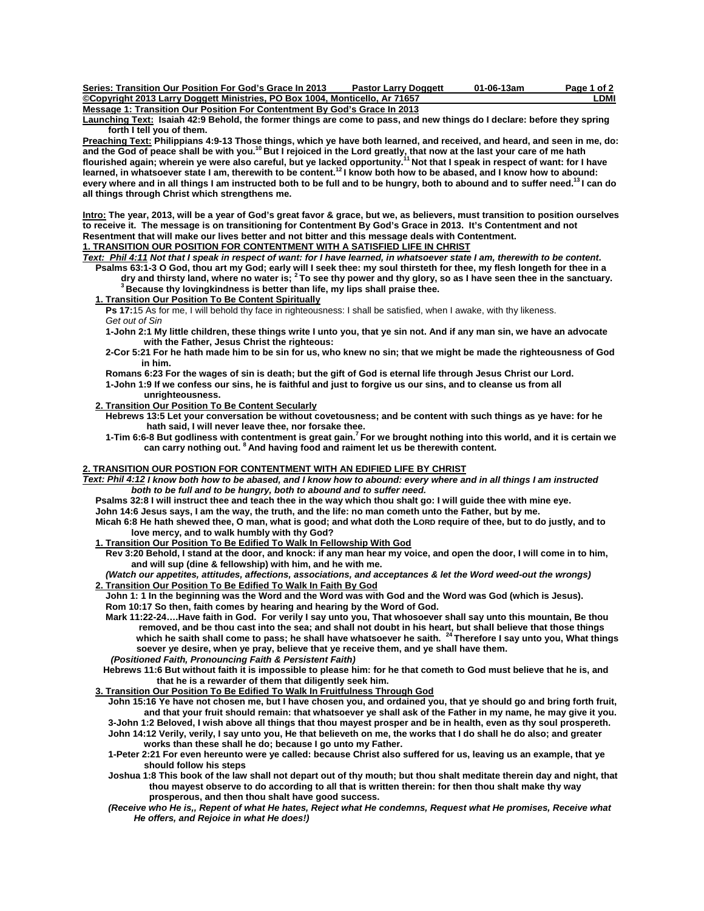| Series: Transition Our Position For God's Grace In 2013                     | <b>Pastor Larry Doggett</b> | 01-06-13am | Page 1 of 2 |
|-----------------------------------------------------------------------------|-----------------------------|------------|-------------|
| ©Copyright 2013 Larry Doggett Ministries, PO Box 1004, Monticello, Ar 71657 |                             |            | ∟DMI        |
| Message 1: Transition Our Position For Contentment By God's Grace In 2013   |                             |            |             |

**Launching Text: Isaiah 42:9 Behold, the former things are come to pass, and new things do I declare: before they spring forth I tell you of them.** 

<u>Preaching Text:</u> Philippians 4:9-13 Those things, which ye have both learned, and received, and heard, and seen in me, do:<br>and the God of peace shall be with you.<sup>10</sup> But I rejoiced in the Lord greatly, that now at the la **flourished again; wherein ye were also careful, but ye lacked opportunity.11 Not that I speak in respect of want: for I have**  learned, in whatsoever state I am, therewith to be content.<sup>12</sup>I know both how to be abased, and I know how to abound: **every where and in all things I am instructed both to be full and to be hungry, both to abound and to suffer need.13 I can do all things through Christ which strengthens me.** 

**Intro: The year, 2013, will be a year of God's great favor & grace, but we, as believers, must transition to position ourselves to receive it. The message is on transitioning for Contentment By God's Grace in 2013. It's Contentment and not Resentment that will make our lives better and not bitter and this message deals with Contentment.** 

# **1. TRANSITION OUR POSITION FOR CONTENTMENT WITH A SATISFIED LIFE IN CHRIST**

*Text: Phil 4:11 Not that I speak in respect of want: for I have learned, in whatsoever state I am, therewith to be content***.**  Psalms 63:1-3 O God, thou art my God; early will I seek thee: my soul thirsteth for thee, my flesh longeth for thee in a<br>dry and thirsty land, where no water is; <sup>2</sup> To see thy power and thy glory, so as I have seen thee i

**<sup>3</sup> Because thy lovingkindness is better than life, my lips shall praise thee.** 

 **1. Transition Our Position To Be Content Spiritually**

**Ps 17:15** As for me, I will behold thy face in righteousness: I shall be satisfied, when I awake, with thy likeness. *Get out of Sin* 

**1-John 2:1 My little children, these things write I unto you, that ye sin not. And if any man sin, we have an advocate with the Father, Jesus Christ the righteous:** 

 **2-Cor 5:21 For he hath made him to be sin for us, who knew no sin; that we might be made the righteousness of God in him.** 

 **Romans 6:23 For the wages of sin is death; but the gift of God is eternal life through Jesus Christ our Lord. 1-John 1:9 If we confess our sins, he is faithful and just to forgive us our sins, and to cleanse us from all unrighteousness.** 

## **2. Transition Our Position To Be Content Secularly**

 **Hebrews 13:5 Let your conversation be without covetousness; and be content with such things as ye have: for he hath said, I will never leave thee, nor forsake thee.** 

 **1-Tim 6:6-8 But godliness with contentment is great gain.7 For we brought nothing into this world, and it is certain we can carry nothing out. 8 And having food and raiment let us be therewith content.** 

### **2. TRANSITION OUR POSTION FOR CONTENTMENT WITH AN EDIFIED LIFE BY CHRIST**

*Text: Phil 4:12 I know both how to be abased, and I know how to abound: every where and in all things I am instructed both to be full and to be hungry, both to abound and to suffer need.* 

**Psalms 32:8 I will instruct thee and teach thee in the way which thou shalt go: I will guide thee with mine eye.** 

 **John 14:6 Jesus says, I am the way, the truth, and the life: no man cometh unto the Father, but by me.** 

 **Micah 6:8 He hath shewed thee, O man, what is good; and what doth the LORD require of thee, but to do justly, and to love mercy, and to walk humbly with thy God?** 

#### **1. Transition Our Position To Be Edified To Walk In Fellowship With God**

 **Rev 3:20 Behold, I stand at the door, and knock: if any man hear my voice, and open the door, I will come in to him, and will sup (dine & fellowship) with him, and he with me.** 

*(Watch our appetites, attitudes, affections, associations, and acceptances & let the Word weed-out the wrongs)*   **2. Transition Our Position To Be Edified To Walk In Faith By God**

 **John 1: 1 In the beginning was the Word and the Word was with God and the Word was God (which is Jesus). Rom 10:17 So then, faith comes by hearing and hearing by the Word of God.** 

 **Mark 11:22-24….Have faith in God. For verily I say unto you, That whosoever shall say unto this mountain, Be thou**  removed, and be thou cast into the sea; and shall not doubt in his heart, but shall believe that those things<br>which he saith shall come to pass; he shall have whatsoever he saith. <sup>24</sup> Therefore I say unto you, What things  **soever ye desire, when ye pray, believe that ye receive them, and ye shall have them.** *(Positioned Faith, Pronouncing Faith & Persistent Faith)* 

**Hebrews 11:6 But without faith it is impossible to please him: for he that cometh to God must believe that he is, and that he is a rewarder of them that diligently seek him.** 

#### **3. Transition Our Position To Be Edified To Walk In Fruitfulness Through God**

 **John 15:16 Ye have not chosen me, but I have chosen you, and ordained you, that ye should go and bring forth fruit, and that your fruit should remain: that whatsoever ye shall ask of the Father in my name, he may give it you. 3-John 1:2 Beloved, I wish above all things that thou mayest prosper and be in health, even as thy soul prospereth.** 

 **John 14:12 Verily, verily, I say unto you, He that believeth on me, the works that I do shall he do also; and greater works than these shall he do; because I go unto my Father.** 

 **1-Peter 2:21 For even hereunto were ye called: because Christ also suffered for us, leaving us an example, that ye should follow his steps** 

- **Joshua 1:8 This book of the law shall not depart out of thy mouth; but thou shalt meditate therein day and night, that thou mayest observe to do according to all that is written therein: for then thou shalt make thy way prosperous, and then thou shalt have good success.**
- *(Receive who He is,, Repent of what He hates, Reject what He condemns, Request what He promises, Receive what He offers, and Rejoice in what He does!)*